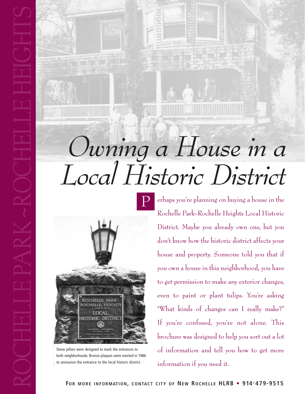# *Owning a House in a Local Historic District*



Stone pillars were designed to mark the entrances to both neighborhoods. Bronze plaques were erected in 1986 to announce the entrance to the local historic district.

RO

 $\mathbb{H}$ 

E

 $\Box$ 

 $\Box$ 

E

PA

 $\mathbf{R}$ 

K

**/** 

 $\mathbb{\mathbb{R}}$ 

O

 $\mathbb{H}$ 

E

 $\Box$ 

 $\Box$ 

E

 $\mathbb{H}$ 

EI

 $\bigcirc$ 

 $\mathbb{H}$ 

 $\vdash$ 

 $\mathbf{C}$ 

erhaps you're planning on buying a house in the Rochelle Park-Rochelle Heights Local Historic District. Maybe you already own one, but you don't know how the historic district affects your house and property. Someone told you that if you own a house in this neighborhood, you have to get permission to make any exterior changes, even to paint or plant tulips. You're asking "What kinds of changes can I really make?" If you're confused, you're not alone. This brochure was designed to help you sort out a lot of information and tell you how to get more information if you need it.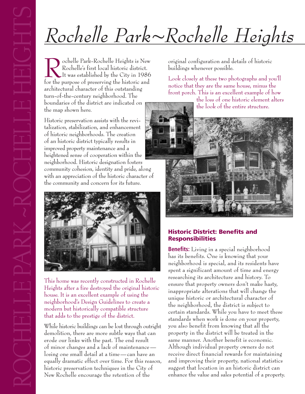# *Rochelle Park~Rochelle Heights*

Cochelle Park-Rochelle Heights is New<br>Rochelle's first local historic district.<br>It was established by the City in 1986<br>for the nurnose of presenting the historic and Rochelle's first local historic district. It was established by the City in 1986 for the purpose of preserving the historic and architectural character of this outstanding turn-of-the-century neighborhood. The boundaries of the district are indicated on the map shown here.

Historic preservation assists with the revitalization, stabilization, and enhancement of historic neighborhoods. The creation of an historic district typically results in improved property maintenance and a heightened sense of cooperation within the neighborhood. Historic designation fosters community cohesion, identity and pride, along with an appreciation of the historic character of the community and concern for its future.



This home was recently constructed in Rochelle Heights after a fire destroyed the original historic house. It is an excellent example of using the neighborhood's Design Guidelines to create a modern but historically compatible structure that adds to the prestige of the district.

While historic buildings can be lost through outright demolition, there are more subtle ways that can erode our links with the past. The end result of minor changes and a lack of maintenance losing one small detail at a time—can have an equally dramatic effect over time. For this reason, historic preservation techniques in the City of New Rochelle encourage the retention of the equally dramatic effect over time. For this reason, and improving their property, national statistics<br>historic preservation techniques in the City of suggest that location in an historic district can<br>New Rochelle encourage

original configuration and details of historic buildings whenever possible.

Look closely at these two photographs and you'll notice that they are the same house, minus the front porch. This is an excellent example of how

the loss of one historic element alters the look of the entire structure.



# **Historic District: Benefits and Responsibilities**

**Benefits:** Living in a special neighborhood has its benefits. One is knowing that your neighborhood is special, and its residents have spent a significant amount of time and energy researching its architecture and history. To ensure that property owners don't make hasty, inappropriate alterations that will change the unique historic or architectural character of the neighborhood, the district is subject to certain standards. While you have to meet these standards when work is done on your property, you also benefit from knowing that all the property in the district will be treated in the same manner. Another benefit is economic. Although individual property owners do not receive direct financial rewards for maintaining and improving their property, national statistics suggest that location in an historic district can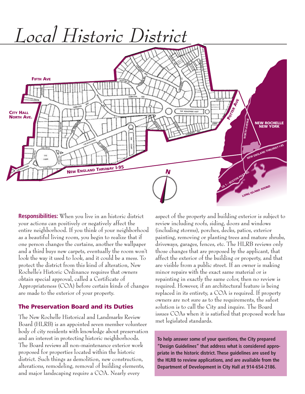

**Responsibilities:** When you live in an historic district your actions can positively or negatively affect the entire neighborhood. If you think of your neighborhood as a beautiful living room, you begin to realize that if one person changes the curtains, another the wallpaper and a third buys new carpets, eventually the room won't look the way it used to look, and it could be a mess. To protect the district from this kind of alteration, New Rochelle's Historic Ordinance requires that owners obtain special approval, called a Certificate of Appropriateness (COA) before certain kinds of changes are made to the exterior of your property.

### **The Preservation Board and its Duties**

The New Rochelle Historical and Landmarks Review Board (HLRB) is an appointed seven member volunteer body of city residents with knowledge about preservation and an interest in protecting historic neighborhoods. The Board reviews all non-maintenance exterior work proposed for properties located within the historic district. Such things as demolition, new construction, alterations, remodeling, removal of building elements, and major landscaping require a COA. Nearly every

aspect of the property and building exterior is subject to review including roofs, siding, doors and windows (including storms), porches, decks, patios, exterior painting, removing or planting trees and mature shrubs, driveways, garages, fences, etc. The HLRB reviews only those changes that are proposed by the applicant, that affect the exterior of the building or property, and that are visible from a public street. If an owner is making minor repairs with the exact same material or is repainting in exactly the same color, then no review is required. However, if an architectural feature is being replaced in its entirety, a COA is required. If property owners are not sure as to the requirements, the safest solution is to call the City and inquire. The Board issues COAs when it is satisfied that proposed work has met legislated standards.

**To help answer some of your questions, the City prepared "Design Guidelines" that address what is considered appropriate in the historic district. These guidelines are used by the HLRB to review applications, and are available from the Department of Development in City Hall at 914-654-2186.**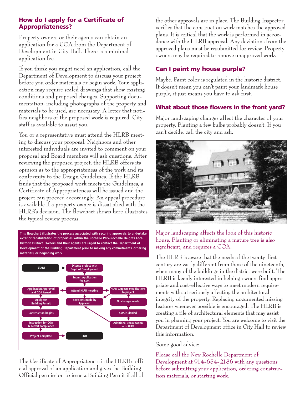# **How do I apply for a Certificate of Appropriateness?**

Property owners or their agents can obtain an application for a COA from the Department of Development in City Hall. There is a minimal application fee.

If you think you might need an application, call the Department of Development to discuss your project before you order materials or begin work. Your application may require scaled drawings that show existing conditions and proposed changes. Supporting documentation, including photographs of the property and materials to be used, are necessary. A letter that notifies neighbors of the proposed work is required. City staff is available to assist you.

You or a representative must attend the HLRB meeting to discuss your proposal. Neighbors and other interested individuals are invited to comment on your proposal and Board members will ask questions. After reviewing the proposed project, the HLRB offers its opinion as to the appropriateness of the work and its conformity to the Design Guidelines. If the HLRB finds that the proposed work meets the Guidelines, a Certificate of Appropriateness will be issued and the project can proceed accordingly. An appeal procedure is available if a property owner is dissatisfied with the HLRB's decision. The flowchart shown here illustrates the typical review process.

**This flowchart illustrates the process associated with securing approvals to undertake exterior rehabilitation of properties within the Rochelle Park-Rochelle Heights Local Historic District. Owners and their agents are urged to contact the Department of Development or the Building Department prior to making any commitments, ordering materials, or beginning work.**



The Certificate of Appropriateness is the HLRB's official approval of an application and gives the Building Official permission to issue a Building Permit if all of

the other approvals are in place. The Building Inspector verifies that the construction work matches the approved plans. It is critical that the work is performed in accordance with the HLRB approval. Any deviations from the approved plans must be resubmitted for review. Property owners may be required to remove unapproved work.

# **Can I paint my house purple?**

Maybe. Paint color is regulated in the historic district. It doesn't mean you can't paint your landmark house purple, it just means you have to ask first.

# **What about those flowers in the front yard?**

Major landscaping changes affect the character of your property. Planting a few bulbs probably doesn't. If you can't decide, call the city and ask.



Major landscaping affects the look of this historic house. Planting or eliminating a mature tree is also significant, and requires a COA.

The HLRB is aware that the needs of the twenty-first century are vastly different from those of the nineteenth, when many of the buildings in the district were built. The HLRB is keenly interested in helping owners find appropriate and cost-effective ways to meet modern requirements without seriously affecting the architectural integrity of the property. Replacing documented missing features whenever possible is encouraged. The HLRB is creating a file of architectural elements that may assist you in planning your project. You are welcome to visit the Department of Development office in City Hall to review this information.

### Some good advice:

Please call the New Rochelle Department of Development at 914-654-2186 with any questions before submitting your application, ordering construction materials, or starting work.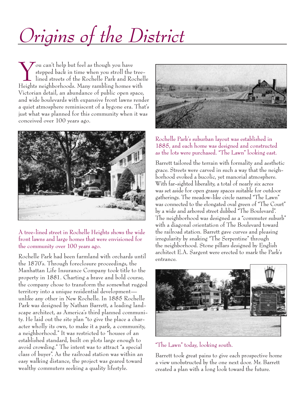# *Origins of the District*

 $\sum$ ou can't help but feel as though you have stepped back in time when you stroll the treelined streets of the Rochelle Park and Rochelle Heights neighborhoods. Many rambling homes with Victorian detail, an abundance of public open space, and wide boulevards with expansive front lawns render a quiet atmosphere reminiscent of a bygone era. That's just what was planned for this community when it was conceived over 100 years ago.



A tree-lined street in Rochelle Heights shows the wide front lawns and large homes that were envisioned for the community over 100 years ago.

Rochelle Park had been farmland with orchards until the 1870's. Through foreclosure proceedings, the Manhattan Life Insurance Company took title to the property in 1881. Charting a brave and bold course, the company chose to transform the somewhat rugged territory into a unique residential development unlike any other in New Rochelle. In 1885 Rochelle Park was designed by Nathan Barrett, a leading landscape architect, as America's third planned community. He laid out the site plan "to give the place a character wholly its own, to make it a park, a community, a neighborhood." It was restricted to "houses of an established standard, built on plots large enough to avoid crowding." The intent was to attract "a special class of buyer". As the railroad station was within an easy walking distance, the project was geared toward wealthy commuters seeking a quality lifestyle.



Rochelle Park's suburban layout was established in 1885, and each home was designed and constructed as the lots were purchased. "The Lawn" looking east.

Barrett tailored the terrain with formality and aesthetic grace. Streets were carved in such a way that the neighborhood evoked a bucolic, yet manorial atmosphere. With far-sighted liberality, a total of nearly six acres was set aside for open grassy spaces suitable for outdoor gatherings. The meadow-like circle named "The Lawn" was connected to the elongated oval green of "The Court" by a wide and arbored street dubbed "The Boulevard". The neighborhood was designed as a "commuter suburb" with a diagonal orientation of The Boulevard toward the railroad station. Barrett gave curves and pleasing irregularity by snaking "The Serpentine" through the neighborhood. Stone pillars designed by English architect E.A. Sargent were erected to mark the Park's entrance.



"The Lawn" today, looking south.

Barrett took great pains to give each prospective home a view unobstructed by the one next door. Mr. Barrett created a plan with a long look toward the future.